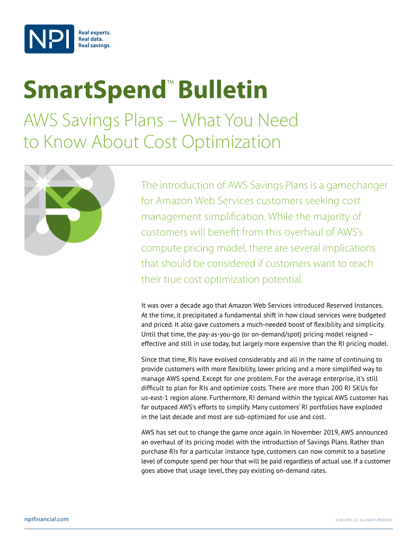

# **SmartSpend<sup>™</sup> Bulletin**

AWS Savings Plans – What You Need to Know About Cost Optimization



The introduction of AWS Savings Plans is a gamechanger for Amazon Web Services customers seeking cost management simplification. While the majority of customers will benefit from this overhaul of AWS's compute pricing model, there are several implications that should be considered if customers want to reach their true cost optimization potential.

It was over a decade ago that Amazon Web Services introduced Reserved Instances. At the time, it precipitated a fundamental shift in how cloud services were budgeted and priced. It also gave customers a much-needed boost of flexibility and simplicity. Until that time, the pay-as-you-go (or on-demand/spot) pricing model reigned – effective and still in use today, but largely more expensive than the RI pricing model.

Since that time, RIs have evolved considerably and all in the name of continuing to provide customers with more flexibility, lower pricing and a more simplified way to manage AWS spend. Except for one problem. For the average enterprise, it's still difficult to plan for RIs and optimize costs. There are more than 200 RI SKUs for us-east-1 region alone. Furthermore, RI demand within the typical AWS customer has far outpaced AWS's efforts to simplify. Many customers' RI portfolios have exploded in the last decade and most are sub-optimized for use and cost.

AWS has set out to change the game once again. In November 2019, AWS announced an overhaul of its pricing model with the introduction of Savings Plans. Rather than purchase RIs for a particular instance type, customers can now commit to a baseline level of compute spend per hour that will be paid regardless of actual use. If a customer goes above that usage level, they pay existing on-demand rates.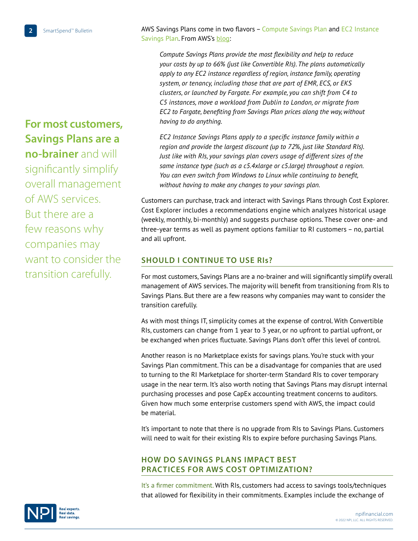AWS Savings Plans come in two flavors - Compute Savings Plan and EC2 Instance Savings Plan. From AWS's [blog](https://aws.amazon.com/blogs/aws/new-savings-plans-for-aws-compute-services/):

*Compute Savings Plans provide the most flexibility and help to reduce your costs by up to 66% (just like Convertible RIs). The plans automatically apply to any EC2 instance regardless of region, instance family, operating system, or tenancy, including those that are part of EMR, ECS, or EKS clusters, or launched by Fargate. For example, you can shift from C4 to C5 instances, move a workload from Dublin to London, or migrate from EC2 to Fargate, benefiting from Savings Plan prices along the way, without having to do anything.*

*EC2 Instance Savings Plans apply to a specific instance family within a region and provide the largest discount (up to 72%, just like Standard RIs). Just like with RIs, your savings plan covers usage of different sizes of the same instance type (such as a c5.4xlarge or c5.large) throughout a region. You can even switch from Windows to Linux while continuing to benefit, without having to make any changes to your savings plan.*

Customers can purchase, track and interact with Savings Plans through Cost Explorer. Cost Explorer includes a recommendations engine which analyzes historical usage (weekly, monthly, bi-monthly) and suggests purchase options. These cover one- and three-year terms as well as payment options familiar to RI customers – no, partial and all upfront.

## **SHOULD I CONTINUE TO USE RIS?**

For most customers, Savings Plans are a no-brainer and will significantly simplify overall management of AWS services. The majority will benefit from transitioning from RIs to Savings Plans. But there are a few reasons why companies may want to consider the transition carefully.

As with most things IT, simplicity comes at the expense of control. With Convertible RIs, customers can change from 1 year to 3 year, or no upfront to partial upfront, or be exchanged when prices fluctuate. Savings Plans don't offer this level of control.

Another reason is no Marketplace exists for savings plans. You're stuck with your Savings Plan commitment. This can be a disadvantage for companies that are used to turning to the RI Marketplace for shorter-term Standard RIs to cover temporary usage in the near term. It's also worth noting that Savings Plans may disrupt internal purchasing processes and pose CapEx accounting treatment concerns to auditors. Given how much some enterprise customers spend with AWS, the impact could be material.

It's important to note that there is no upgrade from RIs to Savings Plans. Customers will need to wait for their existing RIs to expire before purchasing Savings Plans.

## **How Do Savings Plans Impact Best Practices for AWS Cost Optimization?**

It's a firmer commitment. With RIs, customers had access to savings tools/techniques that allowed for flexibility in their commitments. Examples include the exchange of

**For most customers, Savings Plans are a no-brainer** and will significantly simplify overall management of AWS services. But there are a few reasons why companies may want to consider the transition carefully.